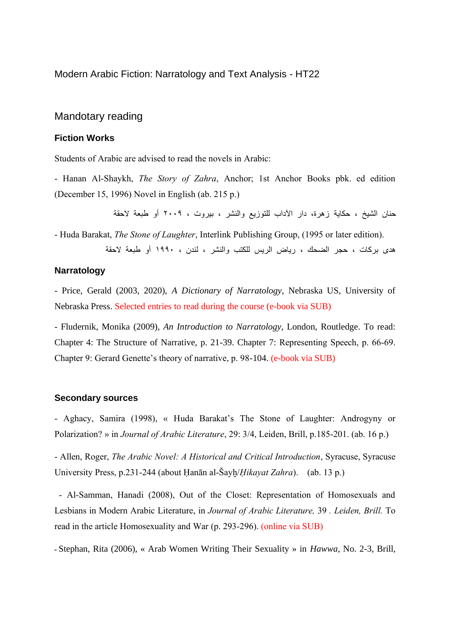Modern Arabic Fiction: Narratology and Text Analysis - HT22

## Mandotary reading

### **Fiction Works**

Students of Arabic are advised to read the novels in Arabic:

- Hanan Al-Shaykh, *The Story of Zahra*, Anchor; 1st Anchor Books pbk. ed edition (December 15, 1996) Novel in English (ab. 215 p.)

حنان الشيخ ، حكاية زهرة، دار اآلداب للتوزيع والنشر ، بيروت ، ٢٠٠٩ أو طبعة الحقة

- Huda Barakat, *The Stone of Laughter*, Interlink Publishing Group, (1995 or later edition).

هدى بركات ، حجر الضحك ، رياض الريس للكتب والنشر ، لندن ، ١٩٩٠ أو طبعة الحقة

## **Narratology**

- Price, Gerald (2003, 2020), *A Dictionary of Narratology*, Nebraska US, University of Nebraska Press. Selected entries to read during the course (e-book via SUB)

- Fludernik, Monika (2009), *An Introduction to Narratology*, London, Routledge. To read: Chapter 4: The Structure of Narrative, p. 21-39. Chapter 7: Representing Speech, p. 66-69. Chapter 9: Gerard Genette's theory of narrative, p. 98-104. (e-book via SUB)

#### **Secondary sources**

- Aghacy, Samira (1998), « Huda Barakat's The Stone of Laughter: Androgyny or Polarization? » in *Journal of Arabic Literature*, 29: 3/4, Leiden, Brill, p.185-201. (ab. 16 p.)

- Allen, Roger, *The Arabic Novel: A Historical and Critical Introduction*, Syracuse, Syracuse University Press, p.231-244 (about Ḥanān al-Šayḫ/*Ḥikayat Zahra*). (ab. 13 p.)

- Al-Samman, Hanadi (2008), Out of the Closet: Representation of Homosexuals and Lesbians in Modern Arabic Literature, in *Journal of Arabic Literature,* 39 *. Leiden, Brill.* To read in the article Homosexuality and War (p. 293-296). (online via SUB)

**-** Stephan, Rita (2006), « Arab Women Writing Their Sexuality » in *Hawwa*, No. 2-3, Brill,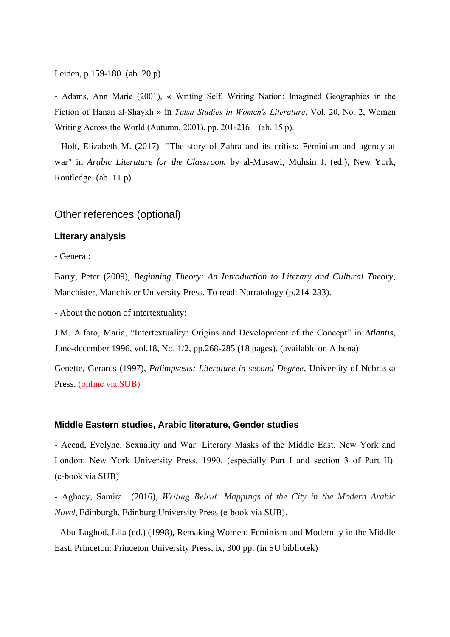Leiden, p.159-180. (ab. 20 p)

- Adams, Ann Marie (2001), « Writing Self, Writing Nation: Imagined Geographies in the Fiction of Hanan al-Shaykh » in *Tulsa Studies in Women's Literature*, Vol. 20, No. 2, Women Writing Across the World (Autumn, 2001), pp. 201-216 (ab. 15 p).

- Holt, Elizabeth M. (2017) "The story of Zahra and its critics: Feminism and agency at war" in *Arabic Literature for the Classroom* by al-Musawi, Muhsin J. (ed.), New York, Routledge. (ab. 11 p).

# Other references (optional)

## **Literary analysis**

- General:

Barry, Peter (2009), *Beginning Theory: An Introduction to Literary and Cultural Theory*, Manchister, Manchister University Press. To read: Narratology (p.214-233).

- About the notion of intertextuality:

J.M. Alfaro, Maria, "Intertextuality: Origins and Development of the Concept" in *Atlantis*, June-december 1996, vol.18, No. 1/2, pp.268-285 (18 pages). (available on Athena)

Genette, Gerards (1997), *Palimpsests: Literature in second Degree*, University of Nebraska Press. (online via SUB)

### **Middle Eastern studies, Arabic literature, Gender studies**

- Accad, Evelyne. Sexuality and War: Literary Masks of the Middle East. New York and London: New York University Press, 1990. (especially Part I and section 3 of Part II). (e-book via SUB)

- Aghacy, Samira (2016), *Writing Beirut: Mappings of the City in the Modern Arabic Novel*, Edinburgh, Edinburg University Press (e-book via SUB).

- Abu-Lughod, Lila (ed.) (1998), Remaking Women: Feminism and Modernity in the Middle East. Princeton: Princeton University Press, ix, 300 pp. (in SU bibliotek)